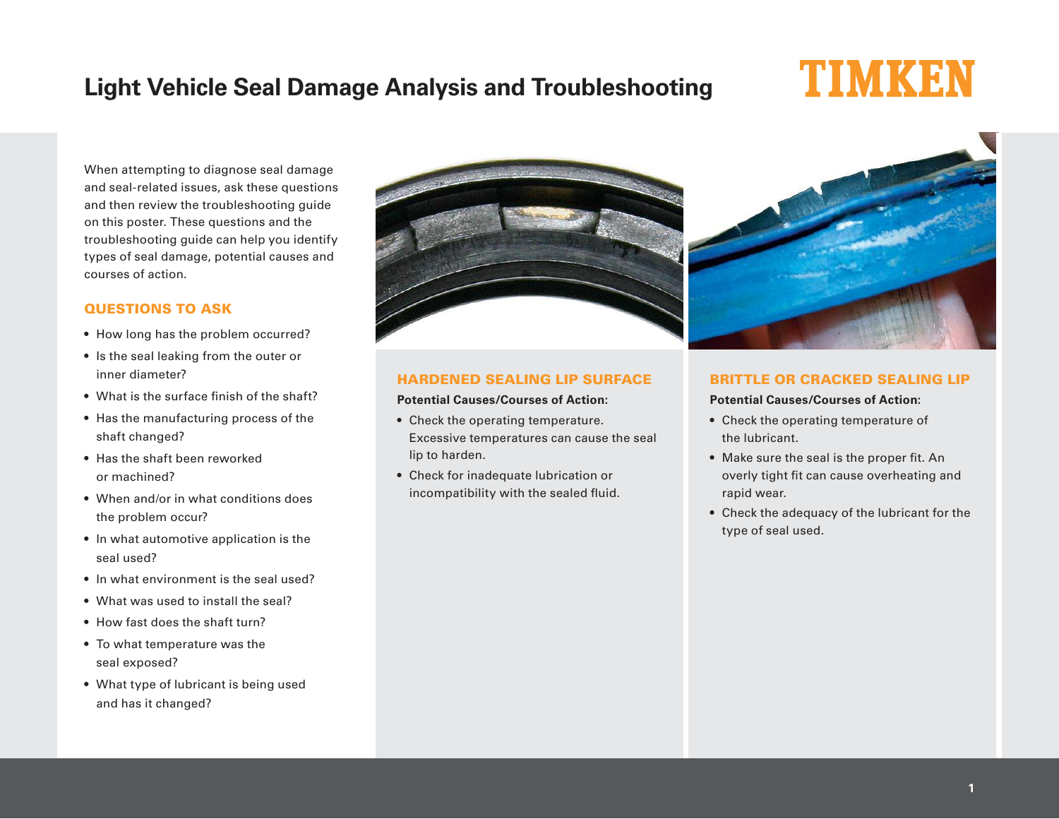# **Light Vehicle Seal Damage Analysis and Troubleshooting**

# TU OVOKOĐNI

When attempting to diagnose seal damage and seal-related issues, ask these questions and then review the troubleshooting guide on this poster. These questions and the troubleshooting guide can help you identify types of seal damage, potential causes and courses of action.

# QUESTIONS TO ASK

- How long has the problem occurred?
- Is the seal leaking from the outer or inner diameter?
- What is the surface finish of the shaft?
- Has the manufacturing process of the shaft changed?
- Has the shaft been reworked or machined?
- When and/or in what conditions does the problem occur?
- In what automotive application is the seal used?
- In what environment is the seal used?
- What was used to install the seal?
- How fast does the shaft turn?
- To what temperature was the seal exposed?
- What type of lubricant is being used and has it changed?



# HARDENED SEALING LIP SURFACE

#### **Potential Causes/Courses of Action:**

- Check the operating temperature. Excessive temperatures can cause the seal lip to harden.
- Check for inadequate lubrication or incompatibility with the sealed fluid.



# BRITTLE OR CRACKED SEALING LIP

#### **Potential Causes/Courses of Action:**

- Check the operating temperature of the lubricant.
- Make sure the seal is the proper fit. An overly tight fit can cause overheating and rapid wear.
- Check the adequacy of the lubricant for the type of seal used.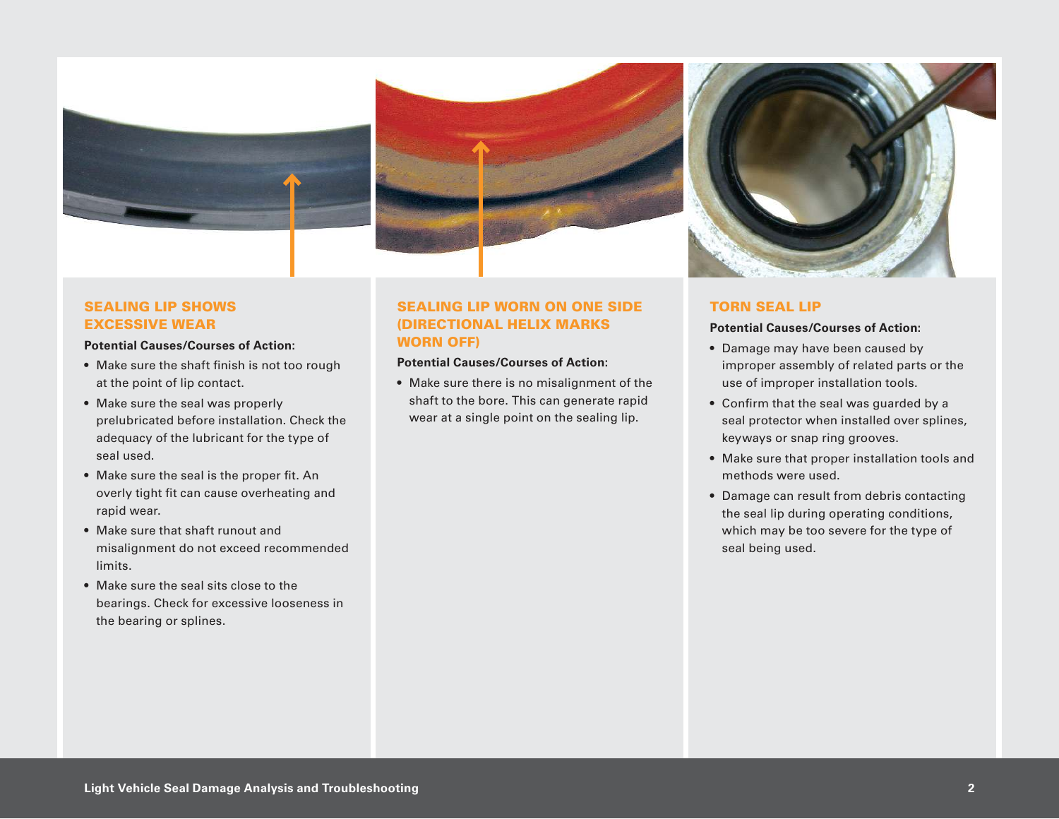



# SEALING LIP SHOWS EXCESSIVE WEAR

#### **Potential Causes/Courses of Action:**

- Make sure the shaft finish is not too rough at the point of lip contact.
- Make sure the seal was properly prelubricated before installation. Check the adequacy of the lubricant for the type of seal used.
- Make sure the seal is the proper fit. An overly tight fit can cause overheating and rapid wear.
- Make sure that shaft runout and misalignment do not exceed recommended limits.
- Make sure the seal sits close to the bearings. Check for excessive looseness in the bearing or splines.

# SEALING LIP WORN ON ONE SIDE (DIRECTIONAL HELIX MARKS WORN OFF)

#### **Potential Causes/Courses of Action:**

• Make sure there is no misalignment of the shaft to the bore. This can generate rapid wear at a single point on the sealing lip.



### TORN SEAL LIP

### **Potential Causes/Courses of Action:**

- Damage may have been caused by improper assembly of related parts or the use of improper installation tools.
- Confirm that the seal was guarded by a seal protector when installed over splines, keyways or snap ring grooves.
- Make sure that proper installation tools and methods were used.
- Damage can result from debris contacting the seal lip during operating conditions, which may be too severe for the type of seal being used.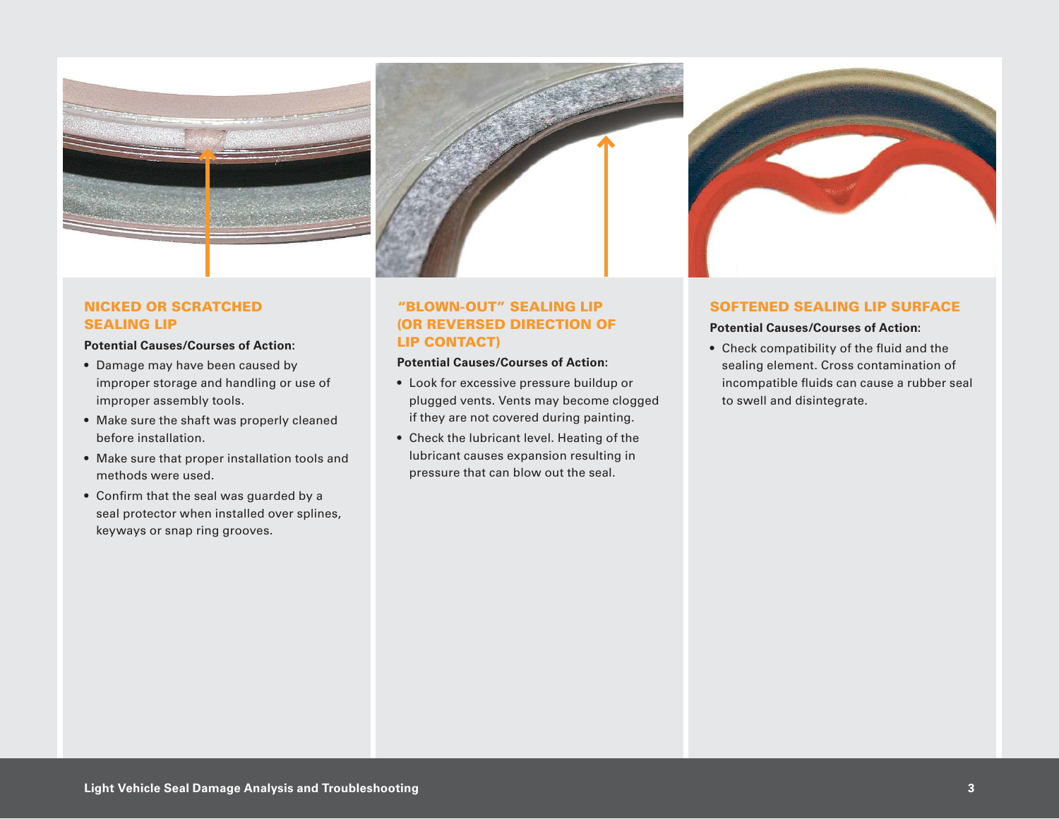

# NICKED OR SCRATCHED SEALING LIP

#### **Potential Causes/Courses of Action:**

- Damage may have been caused by improper storage and handling or use of improper assembly tools.
- Make sure the shaft was properly cleaned before installation.
- Make sure that proper installation tools and methods were used.
- Confirm that the seal was guarded by a seal protector when installed over splines, keyways or snap ring grooves.



# "BLOWN-OUT" SEALING LIP (OR REVERSED DIRECTION OF LIP CONTACT)

#### **Potential Causes/Courses of Action:**

- Look for excessive pressure buildup or plugged vents. Vents may become clogged if they are not covered during painting.
- Check the lubricant level. Heating of the lubricant causes expansion resulting in pressure that can blow out the seal.

#### SOFTENED SEALING LIP SURFACE

#### **Potential Causes/Courses of Action:**

• Check compatibility of the fluid and the sealing element. Cross contamination of incompatible fluids can cause a rubber seal to swell and disintegrate.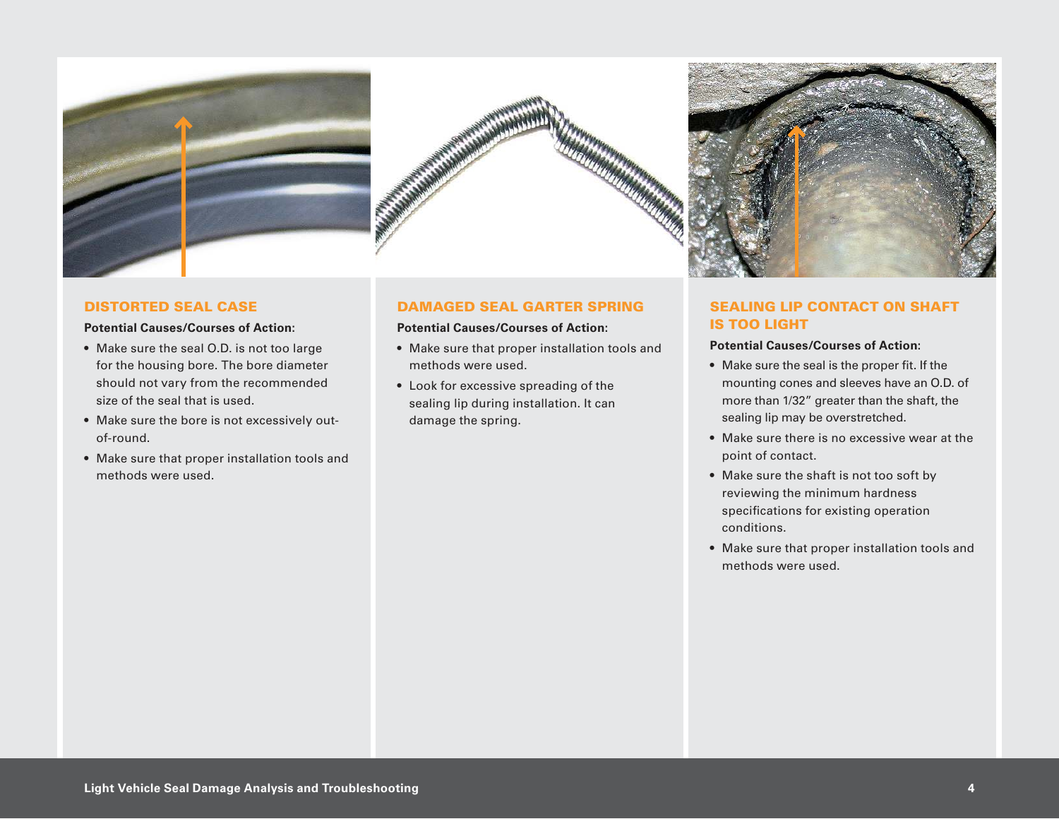





#### DISTORTED SEAL CASE

#### **Potential Causes/Courses of Action:**

- Make sure the seal O.D. is not too large for the housing bore. The bore diameter should not vary from the recommended size of the seal that is used.
- Make sure the bore is not excessively outof-round.
- Make sure that proper installation tools and methods were used.

#### DAMAGED SEAL GARTER SPRING

#### **Potential Causes/Courses of Action:**

- Make sure that proper installation tools and methods were used.
- Look for excessive spreading of the sealing lip during installation. It can damage the spring.

# SEALING LIP CONTACT ON SHAFT IS TOO LIGHT

#### **Potential Causes/Courses of Action:**

- Make sure the seal is the proper fit. If the mounting cones and sleeves have an O.D. of more than 1/32" greater than the shaft, the sealing lip may be overstretched.
- Make sure there is no excessive wear at the point of contact.
- Make sure the shaft is not too soft by reviewing the minimum hardness specifications for existing operation conditions.
- Make sure that proper installation tools and methods were used.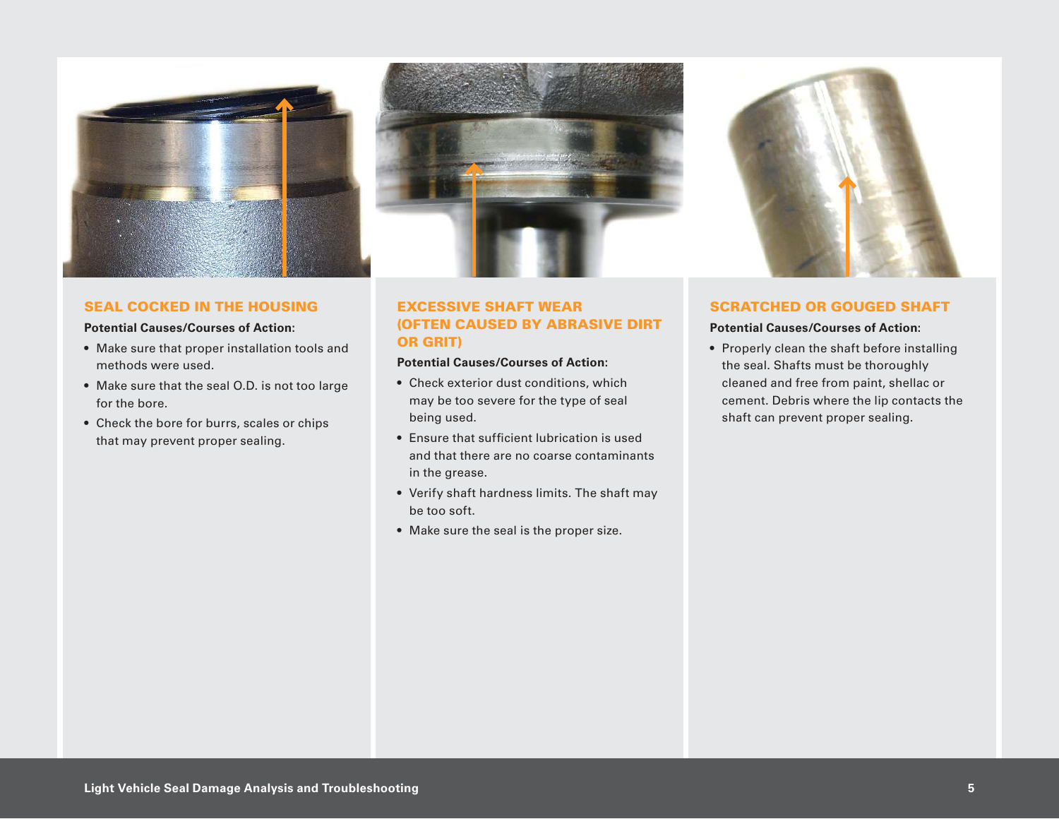

#### SEAL COCKED IN THE HOUSING

#### **Potential Causes/Courses of Action:**

- Make sure that proper installation tools and methods were used.
- Make sure that the seal O.D. is not too large for the bore.
- Check the bore for burrs, scales or chips that may prevent proper sealing.



# EXCESSIVE SHAFT WEAR (OFTEN CAUSED BY ABRASIVE DIRT OR GRIT)

#### **Potential Causes/Courses of Action:**

- Check exterior dust conditions, which may be too severe for the type of seal being used.
- Ensure that sufficient lubrication is used and that there are no coarse contaminants in the grease.
- Verify shaft hardness limits. The shaft may be too soft.
- Make sure the seal is the proper size.



#### SCRATCHED OR GOUGED SHAFT

#### **Potential Causes/Courses of Action:**

• Properly clean the shaft before installing the seal. Shafts must be thoroughly cleaned and free from paint, shellac or cement. Debris where the lip contacts the shaft can prevent proper sealing.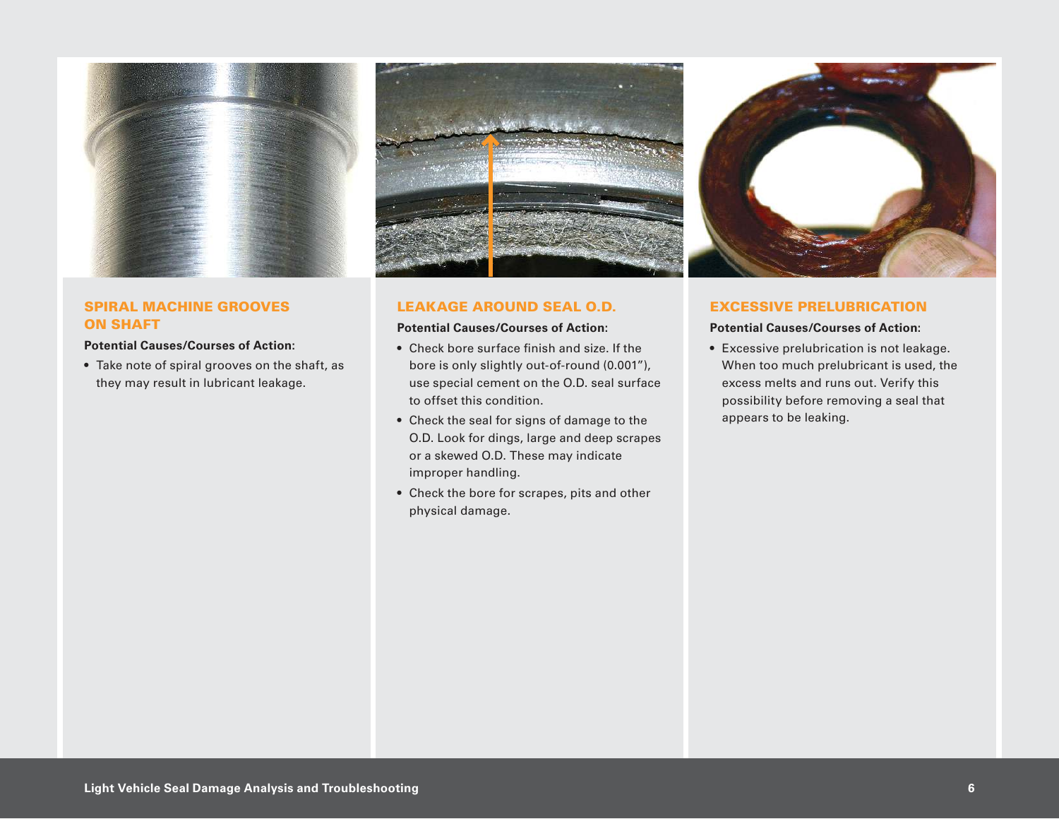

# SPIRAL MACHINE GROOVES ON SHAFT

#### **Potential Causes/Courses of Action:**

• Take note of spiral grooves on the shaft, as they may result in lubricant leakage.



#### LEAKAGE AROUND SEAL O.D.

#### **Potential Causes/Courses of Action:**

- Check bore surface finish and size. If the bore is only slightly out-of-round (0.001"), use special cement on the O.D. seal surface to offset this condition.
- Check the seal for signs of damage to the O.D. Look for dings, large and deep scrapes or a skewed O.D. These may indicate improper handling.
- Check the bore for scrapes, pits and other physical damage.



#### EXCESSIVE PRELUBRICATION

#### **Potential Causes/Courses of Action:**

• Excessive prelubrication is not leakage. When too much prelubricant is used, the excess melts and runs out. Verify this possibility before removing a seal that appears to be leaking.